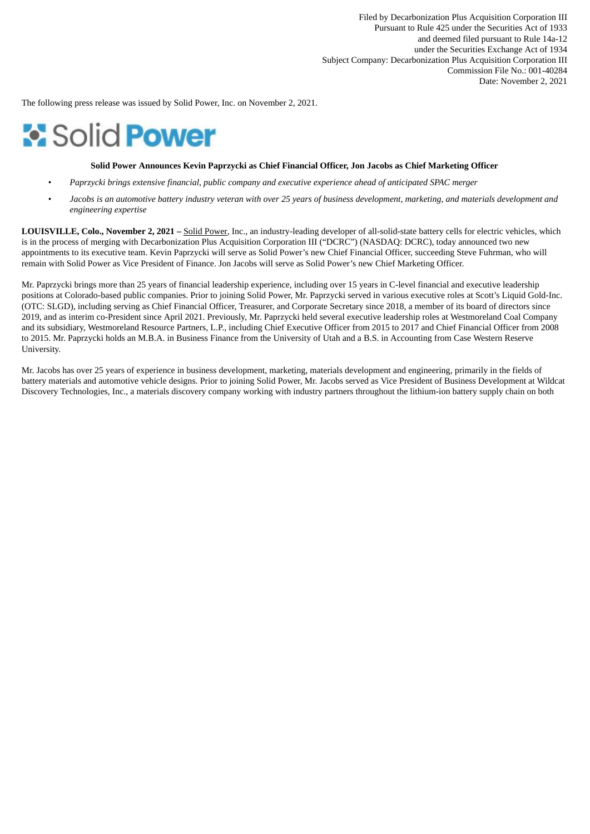Filed by Decarbonization Plus Acquisition Corporation III Pursuant to Rule 425 under the Securities Act of 1933 and deemed filed pursuant to Rule 14a-12 under the Securities Exchange Act of 1934 Subject Company: Decarbonization Plus Acquisition Corporation III Commission File No.: 001-40284 Date: November 2, 2021

The following press release was issued by Solid Power, Inc. on November 2, 2021.

# Solid Power

#### **Solid Power Announces Kevin Paprzycki as Chief Financial Officer, Jon Jacobs as Chief Marketing Officer**

- *Paprzycki brings extensive financial, public company and executive experience ahead of anticipated SPAC merger*
- Jacobs is an automotive battery industry veteran with over 25 years of business development, marketing, and materials development and *engineering expertise*

**LOUISVILLE, Colo., November 2, 2021 –** Solid Power, Inc., an industry-leading developer of all-solid-state battery cells for electric vehicles, which is in the process of merging with Decarbonization Plus Acquisition Corporation III ("DCRC") (NASDAQ: DCRC), today announced two new appointments to its executive team. Kevin Paprzycki will serve as Solid Power's new Chief Financial Officer, succeeding Steve Fuhrman, who will remain with Solid Power as Vice President of Finance. Jon Jacobs will serve as Solid Power's new Chief Marketing Officer.

Mr. Paprzycki brings more than 25 years of financial leadership experience, including over 15 years in C-level financial and executive leadership positions at Colorado-based public companies. Prior to joining Solid Power, Mr. Paprzycki served in various executive roles at Scott's Liquid Gold-Inc. (OTC: SLGD), including serving as Chief Financial Officer, Treasurer, and Corporate Secretary since 2018, a member of its board of directors since 2019, and as interim co-President since April 2021. Previously, Mr. Paprzycki held several executive leadership roles at Westmoreland Coal Company and its subsidiary, Westmoreland Resource Partners, L.P., including Chief Executive Officer from 2015 to 2017 and Chief Financial Officer from 2008 to 2015. Mr. Paprzycki holds an M.B.A. in Business Finance from the University of Utah and a B.S. in Accounting from Case Western Reserve University.

Mr. Jacobs has over 25 years of experience in business development, marketing, materials development and engineering, primarily in the fields of battery materials and automotive vehicle designs. Prior to joining Solid Power, Mr. Jacobs served as Vice President of Business Development at Wildcat Discovery Technologies, Inc., a materials discovery company working with industry partners throughout the lithium-ion battery supply chain on both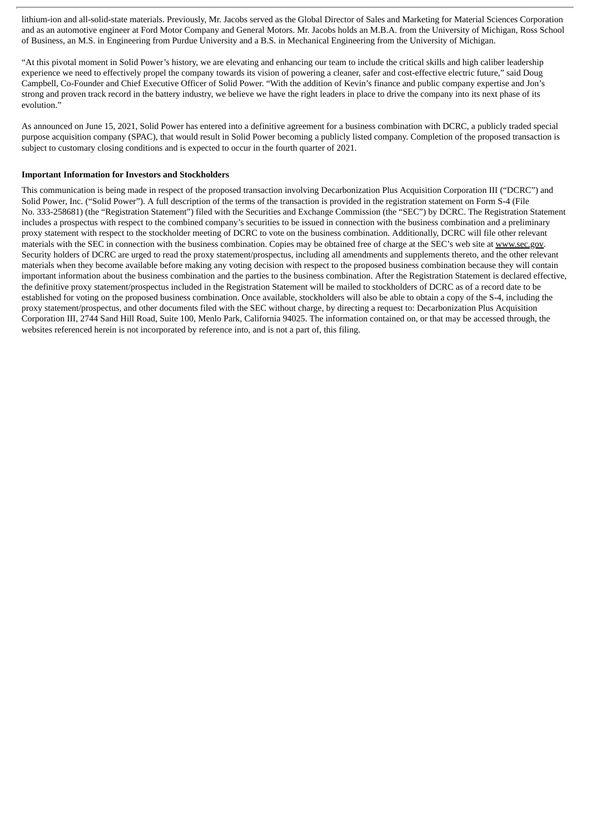lithium-ion and all-solid-state materials. Previously, Mr. Jacobs served as the Global Director of Sales and Marketing for Material Sciences Corporation and as an automotive engineer at Ford Motor Company and General Motors. Mr. Jacobs holds an M.B.A. from the University of Michigan, Ross School of Business, an M.S. in Engineering from Purdue University and a B.S. in Mechanical Engineering from the University of Michigan.

"At this pivotal moment in Solid Power's history, we are elevating and enhancing our team to include the critical skills and high caliber leadership experience we need to effectively propel the company towards its vision of powering a cleaner, safer and cost-effective electric future," said Doug Campbell, Co-Founder and Chief Executive Officer of Solid Power. "With the addition of Kevin's finance and public company expertise and Jon's strong and proven track record in the battery industry, we believe we have the right leaders in place to drive the company into its next phase of its evolution."

As announced on June 15, 2021, Solid Power has entered into a definitive agreement for a business combination with DCRC, a publicly traded special purpose acquisition company (SPAC), that would result in Solid Power becoming a publicly listed company. Completion of the proposed transaction is subject to customary closing conditions and is expected to occur in the fourth quarter of 2021.

# **Important Information for Investors and Stockholders**

This communication is being made in respect of the proposed transaction involving Decarbonization Plus Acquisition Corporation III ("DCRC") and Solid Power, Inc. ("Solid Power"). A full description of the terms of the transaction is provided in the registration statement on Form S-4 (File No. 333-258681) (the "Registration Statement") filed with the Securities and Exchange Commission (the "SEC") by DCRC. The Registration Statement includes a prospectus with respect to the combined company's securities to be issued in connection with the business combination and a preliminary proxy statement with respect to the stockholder meeting of DCRC to vote on the business combination. Additionally, DCRC will file other relevant materials with the SEC in connection with the business combination. Copies may be obtained free of charge at the SEC's web site at www.sec.gov. Security holders of DCRC are urged to read the proxy statement/prospectus, including all amendments and supplements thereto, and the other relevant materials when they become available before making any voting decision with respect to the proposed business combination because they will contain important information about the business combination and the parties to the business combination. After the Registration Statement is declared effective, the definitive proxy statement/prospectus included in the Registration Statement will be mailed to stockholders of DCRC as of a record date to be established for voting on the proposed business combination. Once available, stockholders will also be able to obtain a copy of the S-4, including the proxy statement/prospectus, and other documents filed with the SEC without charge, by directing a request to: Decarbonization Plus Acquisition Corporation III, 2744 Sand Hill Road, Suite 100, Menlo Park, California 94025. The information contained on, or that may be accessed through, the websites referenced herein is not incorporated by reference into, and is not a part of, this filing.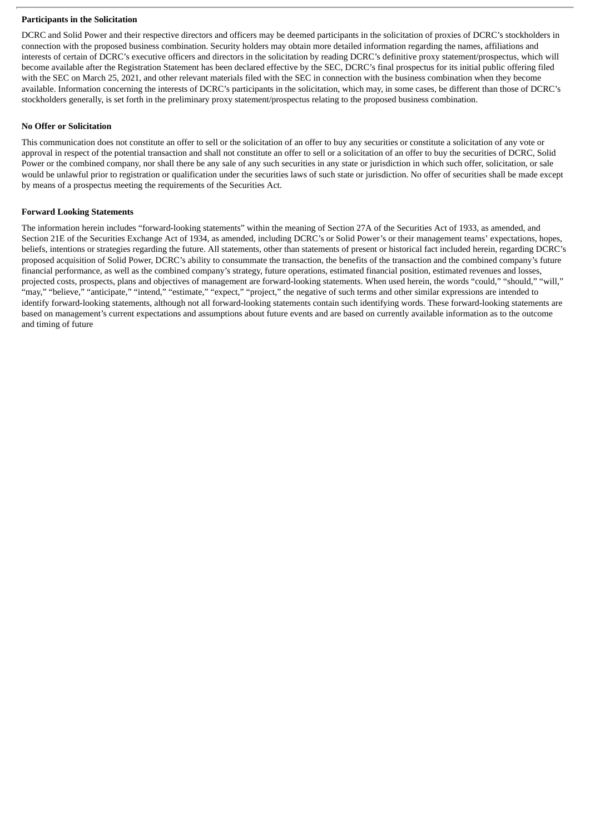# **Participants in the Solicitation**

DCRC and Solid Power and their respective directors and officers may be deemed participants in the solicitation of proxies of DCRC's stockholders in connection with the proposed business combination. Security holders may obtain more detailed information regarding the names, affiliations and interests of certain of DCRC's executive officers and directors in the solicitation by reading DCRC's definitive proxy statement/prospectus, which will become available after the Registration Statement has been declared effective by the SEC, DCRC's final prospectus for its initial public offering filed with the SEC on March 25, 2021, and other relevant materials filed with the SEC in connection with the business combination when they become available. Information concerning the interests of DCRC's participants in the solicitation, which may, in some cases, be different than those of DCRC's stockholders generally, is set forth in the preliminary proxy statement/prospectus relating to the proposed business combination.

# **No Offer or Solicitation**

This communication does not constitute an offer to sell or the solicitation of an offer to buy any securities or constitute a solicitation of any vote or approval in respect of the potential transaction and shall not constitute an offer to sell or a solicitation of an offer to buy the securities of DCRC, Solid Power or the combined company, nor shall there be any sale of any such securities in any state or jurisdiction in which such offer, solicitation, or sale would be unlawful prior to registration or qualification under the securities laws of such state or jurisdiction. No offer of securities shall be made except by means of a prospectus meeting the requirements of the Securities Act.

# **Forward Looking Statements**

The information herein includes "forward-looking statements" within the meaning of Section 27A of the Securities Act of 1933, as amended, and Section 21E of the Securities Exchange Act of 1934, as amended, including DCRC's or Solid Power's or their management teams' expectations, hopes, beliefs, intentions or strategies regarding the future. All statements, other than statements of present or historical fact included herein, regarding DCRC's proposed acquisition of Solid Power, DCRC's ability to consummate the transaction, the benefits of the transaction and the combined company's future financial performance, as well as the combined company's strategy, future operations, estimated financial position, estimated revenues and losses, projected costs, prospects, plans and objectives of management are forward-looking statements. When used herein, the words "could," "should," "will," "may," "believe," "anticipate," "intend," "estimate," "expect," "project," the negative of such terms and other similar expressions are intended to identify forward-looking statements, although not all forward-looking statements contain such identifying words. These forward-looking statements are based on management's current expectations and assumptions about future events and are based on currently available information as to the outcome and timing of future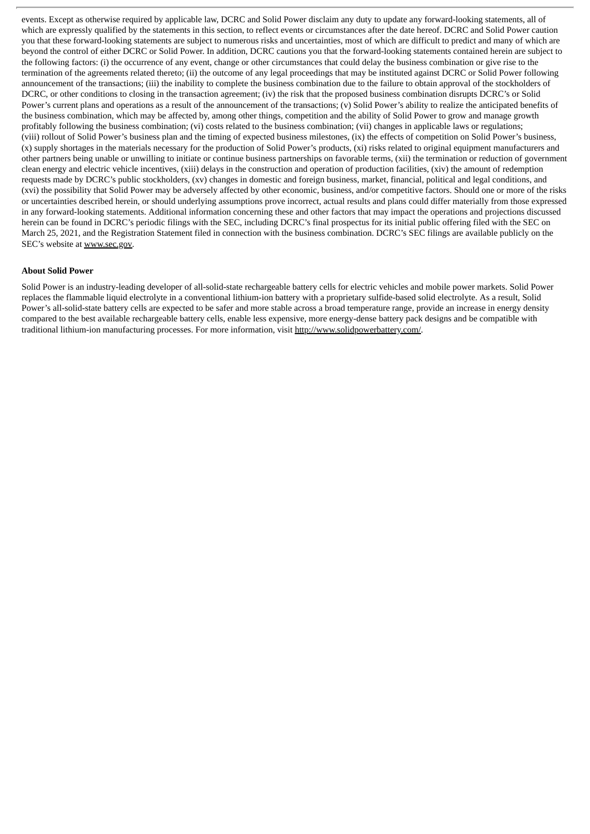events. Except as otherwise required by applicable law, DCRC and Solid Power disclaim any duty to update any forward-looking statements, all of which are expressly qualified by the statements in this section, to reflect events or circumstances after the date hereof. DCRC and Solid Power caution you that these forward-looking statements are subject to numerous risks and uncertainties, most of which are difficult to predict and many of which are beyond the control of either DCRC or Solid Power. In addition, DCRC cautions you that the forward-looking statements contained herein are subject to the following factors: (i) the occurrence of any event, change or other circumstances that could delay the business combination or give rise to the termination of the agreements related thereto; (ii) the outcome of any legal proceedings that may be instituted against DCRC or Solid Power following announcement of the transactions; (iii) the inability to complete the business combination due to the failure to obtain approval of the stockholders of DCRC, or other conditions to closing in the transaction agreement; (iv) the risk that the proposed business combination disrupts DCRC's or Solid Power's current plans and operations as a result of the announcement of the transactions; (y) Solid Power's ability to realize the anticipated benefits of the business combination, which may be affected by, among other things, competition and the ability of Solid Power to grow and manage growth profitably following the business combination; (vi) costs related to the business combination; (vii) changes in applicable laws or regulations; (viii) rollout of Solid Power's business plan and the timing of expected business milestones, (ix) the effects of competition on Solid Power's business, (x) supply shortages in the materials necessary for the production of Solid Power's products, (xi) risks related to original equipment manufacturers and other partners being unable or unwilling to initiate or continue business partnerships on favorable terms, (xii) the termination or reduction of government clean energy and electric vehicle incentives, (xiii) delays in the construction and operation of production facilities, (xiv) the amount of redemption requests made by DCRC's public stockholders, (xv) changes in domestic and foreign business, market, financial, political and legal conditions, and (xvi) the possibility that Solid Power may be adversely affected by other economic, business, and/or competitive factors. Should one or more of the risks or uncertainties described herein, or should underlying assumptions prove incorrect, actual results and plans could differ materially from those expressed in any forward-looking statements. Additional information concerning these and other factors that may impact the operations and projections discussed herein can be found in DCRC's periodic filings with the SEC, including DCRC's final prospectus for its initial public offering filed with the SEC on March 25, 2021, and the Registration Statement filed in connection with the business combination. DCRC's SEC filings are available publicly on the SEC's website at **www.sec.gov**.

#### **About Solid Power**

Solid Power is an industry-leading developer of all-solid-state rechargeable battery cells for electric vehicles and mobile power markets. Solid Power replaces the flammable liquid electrolyte in a conventional lithium-ion battery with a proprietary sulfide-based solid electrolyte. As a result, Solid Power's all-solid-state battery cells are expected to be safer and more stable across a broad temperature range, provide an increase in energy density compared to the best available rechargeable battery cells, enable less expensive, more energy-dense battery pack designs and be compatible with traditional lithium-ion manufacturing processes. For more information, visit http://www.solidpowerbattery.com/.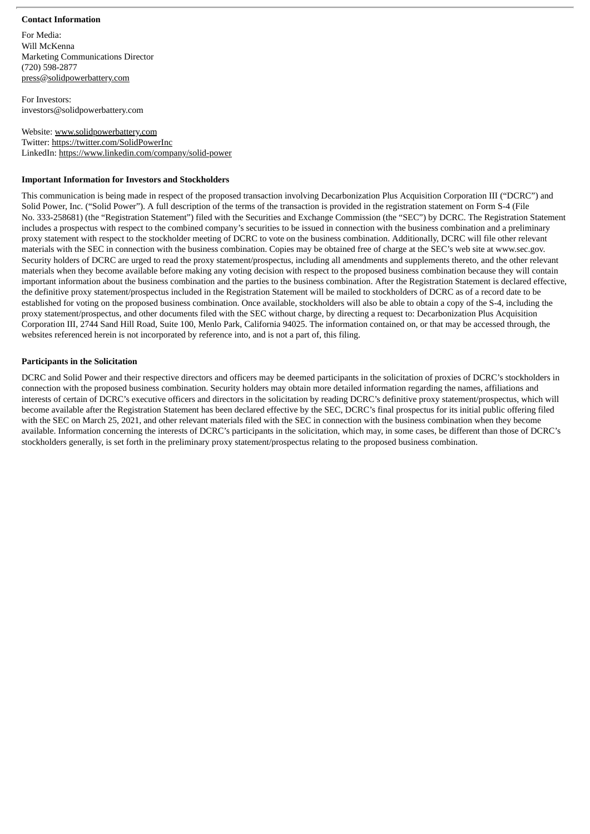# **Contact Information**

For Media: Will McKenna Marketing Communications Director (720) 598-2877 press@solidpowerbattery.com

For Investors: investors@solidpowerbattery.com

Website: www.solidpowerbattery.com Twitter: https://twitter.com/SolidPowerInc LinkedIn: https://www.linkedin.com/company/solid-power

### **Important Information for Investors and Stockholders**

This communication is being made in respect of the proposed transaction involving Decarbonization Plus Acquisition Corporation III ("DCRC") and Solid Power, Inc. ("Solid Power"). A full description of the terms of the transaction is provided in the registration statement on Form S-4 (File No. 333-258681) (the "Registration Statement") filed with the Securities and Exchange Commission (the "SEC") by DCRC. The Registration Statement includes a prospectus with respect to the combined company's securities to be issued in connection with the business combination and a preliminary proxy statement with respect to the stockholder meeting of DCRC to vote on the business combination. Additionally, DCRC will file other relevant materials with the SEC in connection with the business combination. Copies may be obtained free of charge at the SEC's web site at www.sec.gov. Security holders of DCRC are urged to read the proxy statement/prospectus, including all amendments and supplements thereto, and the other relevant materials when they become available before making any voting decision with respect to the proposed business combination because they will contain important information about the business combination and the parties to the business combination. After the Registration Statement is declared effective, the definitive proxy statement/prospectus included in the Registration Statement will be mailed to stockholders of DCRC as of a record date to be established for voting on the proposed business combination. Once available, stockholders will also be able to obtain a copy of the S-4, including the proxy statement/prospectus, and other documents filed with the SEC without charge, by directing a request to: Decarbonization Plus Acquisition Corporation III, 2744 Sand Hill Road, Suite 100, Menlo Park, California 94025. The information contained on, or that may be accessed through, the websites referenced herein is not incorporated by reference into, and is not a part of, this filing.

# **Participants in the Solicitation**

DCRC and Solid Power and their respective directors and officers may be deemed participants in the solicitation of proxies of DCRC's stockholders in connection with the proposed business combination. Security holders may obtain more detailed information regarding the names, affiliations and interests of certain of DCRC's executive officers and directors in the solicitation by reading DCRC's definitive proxy statement/prospectus, which will become available after the Registration Statement has been declared effective by the SEC, DCRC's final prospectus for its initial public offering filed with the SEC on March 25, 2021, and other relevant materials filed with the SEC in connection with the business combination when they become available. Information concerning the interests of DCRC's participants in the solicitation, which may, in some cases, be different than those of DCRC's stockholders generally, is set forth in the preliminary proxy statement/prospectus relating to the proposed business combination.